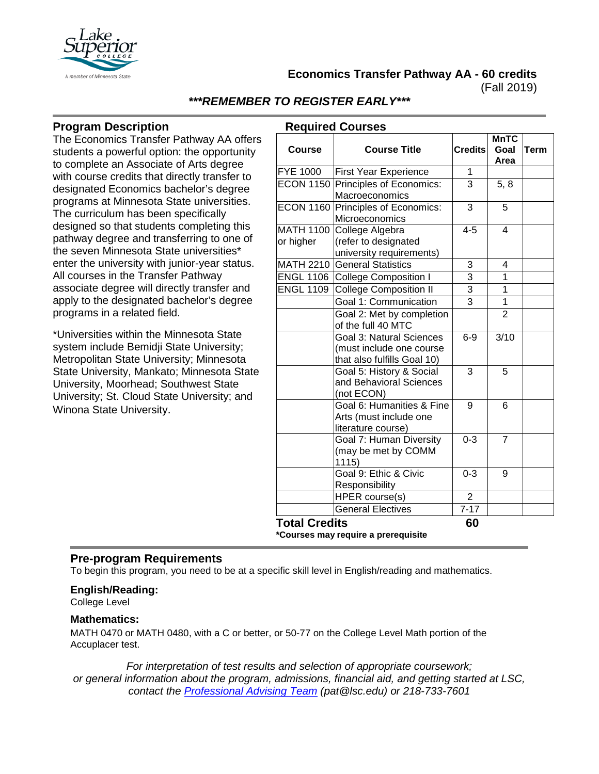

**Economics Transfer Pathway AA - 60 credits**

(Fall 2019)

# *\*\*\*REMEMBER TO REGISTER EARLY\*\*\**

## **Program Description**

The Economics Transfer Pathway AA offers students a powerful option: the opportunity to complete an Associate of Arts degree with course credits that directly transfer to designated Economics bachelor's degree programs at Minnesota State universities. The curriculum has been specifically designed so that students completing this pathway degree and transferring to one of the seven Minnesota State universities\* enter the university with junior-year status. All courses in the Transfer Pathway associate degree will directly transfer and apply to the designated bachelor's degree programs in a related field.

\*Universities within the Minnesota State system include Bemidji State University; Metropolitan State University; Minnesota State University, Mankato; Minnesota State University, Moorhead; Southwest State University; St. Cloud State University; and Winona State University.

| <b>Required Courses</b> |                                                                                     |                |                             |             |  |
|-------------------------|-------------------------------------------------------------------------------------|----------------|-----------------------------|-------------|--|
| <b>Course</b>           | <b>Course Title</b>                                                                 | <b>Credits</b> | <b>MnTC</b><br>Goal<br>Area | <b>Term</b> |  |
| <b>FYE 1000</b>         | <b>First Year Experience</b>                                                        | 1              |                             |             |  |
| <b>ECON 1150</b>        | Principles of Economics:                                                            | 3              | 5, 8                        |             |  |
|                         | Macroeconomics                                                                      |                |                             |             |  |
|                         | ECON 1160 Principles of Economics:<br>Microeconomics                                | 3              | 5                           |             |  |
| <b>MATH 1100</b>        | College Algebra                                                                     | $4 - 5$        | $\overline{\mathcal{A}}$    |             |  |
| or higher               | (refer to designated                                                                |                |                             |             |  |
|                         | university requirements)                                                            |                |                             |             |  |
| MATH 2210               | <b>General Statistics</b>                                                           | 3              | 4                           |             |  |
| <b>ENGL 1106</b>        | <b>College Composition I</b>                                                        | $\overline{3}$ | $\overline{1}$              |             |  |
| <b>ENGL 1109</b>        | College Composition II                                                              | $\overline{3}$ | 1                           |             |  |
|                         | Goal 1: Communication                                                               | $\overline{3}$ | $\overline{1}$              |             |  |
|                         | Goal 2: Met by completion<br>of the full 40 MTC                                     |                | $\overline{2}$              |             |  |
|                         | Goal 3: Natural Sciences<br>(must include one course<br>that also fulfills Goal 10) | $6-9$          | 3/10                        |             |  |
|                         | Goal 5: History & Social<br>and Behavioral Sciences<br>(not ECON)                   | 3              | 5                           |             |  |
|                         | Goal 6: Humanities & Fine<br>Arts (must include one<br>literature course)           | 9              | 6                           |             |  |
|                         | Goal 7: Human Diversity<br>(may be met by COMM<br>1115)                             | $0 - 3$        | $\overline{7}$              |             |  |
|                         | Goal 9: Ethic & Civic<br>Responsibility                                             | $0 - 3$        | 9                           |             |  |
|                         | HPER course(s)                                                                      | 2              |                             |             |  |
|                         | <b>General Electives</b>                                                            | $7 - 17$       |                             |             |  |
| <b>Total Credits</b>    |                                                                                     | 60             |                             |             |  |

**\*Courses may require a prerequisite**

## **Pre-program Requirements**

To begin this program, you need to be at a specific skill level in English/reading and mathematics.

#### **English/Reading:**

College Level

#### **Mathematics:**

MATH 0470 or MATH 0480, with a C or better, or 50-77 on the College Level Math portion of the Accuplacer test.

*For interpretation of test results and selection of appropriate coursework; or general information about the program, admissions, financial aid, and getting started at LSC, contact the [Professional Advising Team](mailto:pat@lsc.edu) (pat@lsc.edu) or 218-733-7601*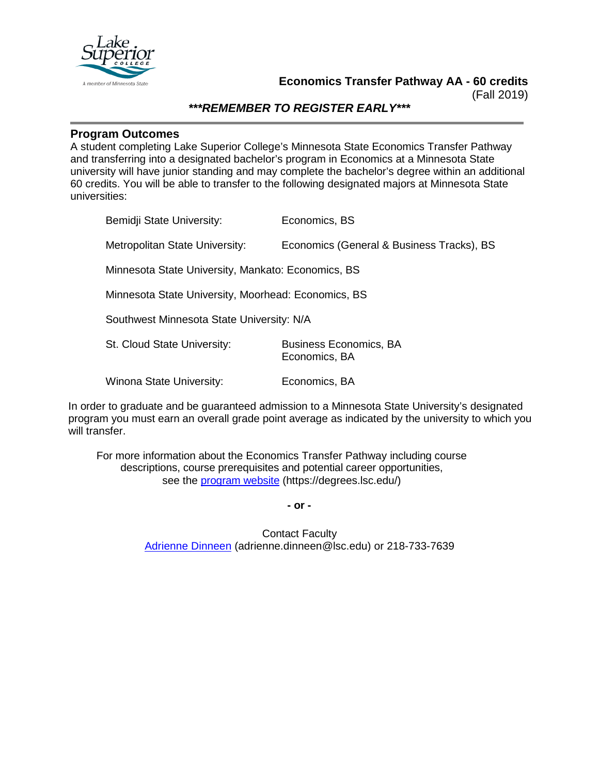

**Economics Transfer Pathway AA - 60 credits**

(Fall 2019)

# *\*\*\*REMEMBER TO REGISTER EARLY\*\*\**

### **Program Outcomes**

A student completing Lake Superior College's Minnesota State Economics Transfer Pathway and transferring into a designated bachelor's program in Economics at a Minnesota State university will have junior standing and may complete the bachelor's degree within an additional 60 credits. You will be able to transfer to the following designated majors at Minnesota State universities:

Bemidji State University: Economics, BS Metropolitan State University: Economics (General & Business Tracks), BS Minnesota State University, Mankato: Economics, BS Minnesota State University, Moorhead: Economics, BS Southwest Minnesota State University: N/A St. Cloud State University: Business Economics, BA Economics, BA Winona State University: Economics, BA

In order to graduate and be guaranteed admission to a Minnesota State University's designated program you must earn an overall grade point average as indicated by the university to which you will transfer.

For more information about the Economics Transfer Pathway including course descriptions, course prerequisites and potential career opportunities, see the [program website](https://degrees.lsc.edu/) (https://degrees.lsc.edu/)

**- or -**

Contact Faculty [Adrienne Dinneen](mailto:adrienne.dinneen@lsc.edu) (adrienne.dinneen@lsc.edu) or 218-733-7639